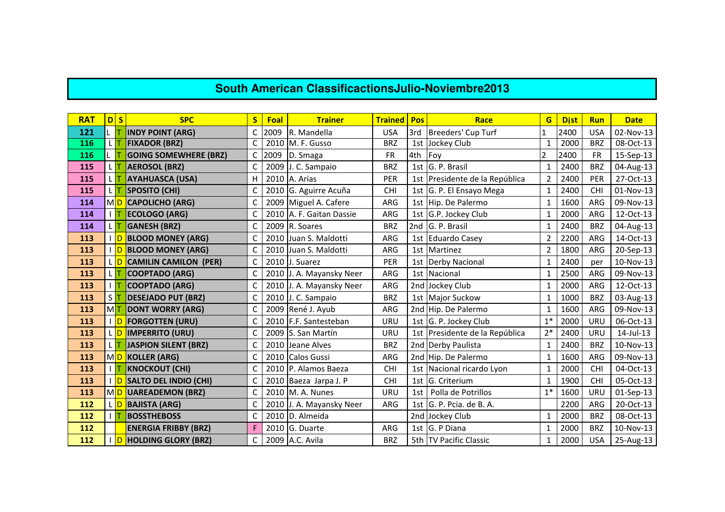## **South American ClassificactionsJulio-Noviembre2013**

| <b>RAT</b> | D S                | <b>SPC</b>                   |   | Foal | <b>Trainer</b>           | <b>Trained</b> | Pos | Race                           | G                        | <b>Dist</b> | <b>Run</b> | <b>Date</b> |
|------------|--------------------|------------------------------|---|------|--------------------------|----------------|-----|--------------------------------|--------------------------|-------------|------------|-------------|
| 121        |                    | <b>INDY POINT (ARG)</b>      |   | 2009 | R. Mandella              | <b>USA</b>     | 3rd | Breeders' Cup Turf             |                          | 2400        | <b>USA</b> | 02-Nov-13   |
| 116        | LП                 | <b>FIXADOR (BRZ)</b>         | C |      | 2010 M. F. Gusso         | <b>BRZ</b>     | 1st | Jockey Club                    | $\mathbf{1}$             | 2000        | <b>BRZ</b> | 08-Oct-13   |
| 116        |                    | <b>GOING SOMEWHERE (BRZ)</b> |   | 2009 | D. Smaga                 | <b>FR</b>      | 4th | Foy                            | $\overline{\phantom{a}}$ | 2400        | <b>FR</b>  | 15-Sep-13   |
| 115        |                    | <b>AEROSOL (BRZ)</b>         |   | 2009 | J. C. Sampaio            | <b>BRZ</b>     | 1st | G. P. Brasil                   | 1                        | 2400        | <b>BRZ</b> | 04-Aug-13   |
| 115        |                    | <b>AYAHUASCA (USA)</b>       | н |      | 2010 A. Arias            | PER            |     | 1st Presidente de la República | $\overline{2}$           | 2400        | PER        | 27-Oct-13   |
| 115        |                    | <b>SPOSITO (CHI)</b>         |   |      | 2010 G. Aguirre Acuña    | <b>CHI</b>     |     | 1st G. P. El Ensayo Mega       |                          | 2400        | CHI        | 01-Nov-13   |
| 114        |                    | MD CAPOLICHO (ARG)           |   |      | 2009 Miguel A. Cafere    | ARG            | 1st | Hip. De Palermo                | 1                        | 1600        | ARG        | 09-Nov-13   |
| 114        |                    | <b>ECOLOGO (ARG)</b>         |   |      | 2010 A. F. Gaitan Dassie | <b>ARG</b>     | 1st | G.P. Jockey Club               | 1                        | 2000        | ARG        | 12-Oct-13   |
| 114        |                    | <b>GANESH (BRZ)</b>          |   |      | 2009 R. Soares           | <b>BRZ</b>     | 2nd | G. P. Brasil                   |                          | 2400        | <b>BRZ</b> | 04-Aug-13   |
| 113        |                    | I D BLOOD MONEY (ARG)        |   |      | 2010 Juan S. Maldotti    | ARG            | 1st | <b>Eduardo Casey</b>           | 2                        | 2200        | ARG        | 14-Oct-13   |
| 113        | ID                 | <b>BLOOD MONEY (ARG)</b>     |   |      | 2010 Juan S. Maldotti    | ARG            | 1st | Martinez                       | 2                        | 1800        | ARG        | 20-Sep-13   |
| 113        | ID                 | <b>CAMILIN CAMILON (PER)</b> |   |      | 2010 J. Suarez           | PER            |     | 1st Derby Nacional             |                          | 2400        | per        | 10-Nov-13   |
| 113        |                    | <b>COOPTADO (ARG)</b>        |   |      | 2010 J. A. Mayansky Neer | ARG            | 1st | Nacional                       |                          | 2500        | ARG        | 09-Nov-13   |
| 113        |                    | <b>COOPTADO (ARG)</b>        |   |      | 2010 J. A. Mayansky Neer | <b>ARG</b>     |     | 2nd Jockey Club                | $\mathbf{1}$             | 2000        | ARG        | 12-Oct-13   |
| 113        | $S$ $\overline{I}$ | <b>DESEJADO PUT (BRZ)</b>    |   |      | 2010 J. C. Sampaio       | <b>BRZ</b>     | 1st | <b>Major Suckow</b>            | 1                        | 1000        | <b>BRZ</b> | 03-Aug-13   |
| 113        | м <mark>т</mark>   | <b>DONT WORRY (ARG)</b>      |   |      | 2009 René J. Ayub        | ARG            |     | 2nd Hip. De Palermo            |                          | 1600        | ARG        | 09-Nov-13   |
| 113        | ID                 | <b>FORGOTTEN (URU)</b>       |   |      | 2010 F.F. Santesteban    | URU            |     | 1st G. P. Jockey Club          | $1*$                     | 2000        | URU        | 06-Oct-13   |
| 113        | ID                 | <b>IMPERRITO (URU)</b>       |   |      | 2009 S. San Martín       | URU            |     | 1st Presidente de la República | $2*$                     | 2400        | URU        | 14-Jul-13   |
| 113        |                    | <b>JASPION SILENT (BRZ)</b>  |   |      | 2010 Jeane Alves         | <b>BRZ</b>     |     | 2nd Derby Paulista             | $\mathbf{1}$             | 2400        | <b>BRZ</b> | 10-Nov-13   |
| 113        | MD <sup></sup>     | <b>KOLLER (ARG)</b>          |   |      | 2010 Calos Gussi         | ARG            |     | 2nd Hip. De Palermo            |                          | 1600        | ARG        | 09-Nov-13   |
| 113        |                    | <b>KNOCKOUT (CHI)</b>        |   |      | 2010 P. Alamos Baeza     | <b>CHI</b>     | 1st | Nacional ricardo Lyon          | 1                        | 2000        | CHI        | 04-Oct-13   |
| 113        | <b>D</b>           | <b>SALTO DEL INDIO (CHI)</b> |   |      | 2010 Baeza Jarpa J. P    | <b>CHI</b>     | 1st | G. Criterium                   | 1                        | 1900        | CHI        | 05-Oct-13   |
| 113        | MD <sup></sup>     | <b>UAREADEMON (BRZ)</b>      |   |      | 2010 M. A. Nunes         | URU            | 1st | Polla de Potrillos             | $1*$                     | 1600        | URU        | 01-Sep-13   |
| 112        | L D                | <b>BAJISTA (ARG)</b>         |   |      | 2010 J. A. Mayansky Neer | ARG            | 1st | G. P. Pcia. de B. A.           |                          | 2200        | ARG        | 20-Oct-13   |
| 112        | IΤ                 | <b>BOSSTHEBOSS</b>           |   |      | 2010 D. Almeida          |                | 2nd | Jockey Club                    | 1                        | 2000        | <b>BRZ</b> | 08-Oct-13   |
| 112        |                    | <b>ENERGIA FRIBBY (BRZ)</b>  |   |      | 2010 G. Duarte           | ARG            | 1st | G. P Diana                     |                          | 2000        | <b>BRZ</b> | 10-Nov-13   |
| 112        | $\overline{D}$     | <b>HOLDING GLORY (BRZ)</b>   |   |      | 2009 A.C. Avila          | <b>BRZ</b>     |     | 5th TV Pacific Classic         |                          | 2000        | <b>USA</b> | 25-Aug-13   |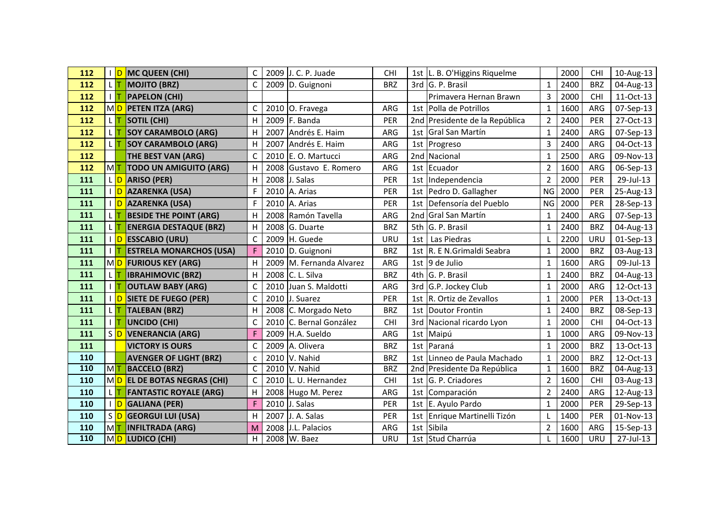| 112 |    | ID               | <b>MC QUEEN (CHI)</b>           |   |      | 2009 J. C. P. Juade        | <b>CHI</b> |     | 1st L. B. O'Higgins Riquelme |                | 2000 | <b>CHI</b> | 10-Aug-13 |
|-----|----|------------------|---------------------------------|---|------|----------------------------|------------|-----|------------------------------|----------------|------|------------|-----------|
| 112 |    |                  | <b>MOJITO (BRZ)</b>             | C |      | 2009 D. Guignoni           | <b>BRZ</b> | 3rd | G. P. Brasil                 | $\mathbf{1}$   | 2400 | <b>BRZ</b> | 04-Aug-13 |
| 112 |    |                  | <b>PAPELON (CHI)</b>            |   |      |                            |            |     | Primavera Hernan Brawn       | 3              | 2000 | <b>CHI</b> | 11-Oct-13 |
| 112 |    | MD               | <b>PETEN ITZA (ARG)</b>         |   |      | 2010 O. Fravega            | ARG        | 1st | Polla de Potrillos           | $\mathbf{1}$   | 1600 | ARG        | 07-Sep-13 |
| 112 |    |                  | <b>SOTIL (CHI)</b>              | н |      | 2009 F. Banda              | PER        | 2nd | Presidente de la República   | $\overline{2}$ | 2400 | PER        | 27-Oct-13 |
| 112 |    |                  | <b>SOY CARAMBOLO (ARG)</b>      | н |      | 2007 Andrés E. Haim        | ARG        | 1st | Gral San Martín              | $\mathbf{1}$   | 2400 | ARG        | 07-Sep-13 |
| 112 |    |                  | <b>SOY CARAMBOLO (ARG)</b>      | н |      | 2007 Andrés E. Haim        | ARG        | 1st | Progreso                     | 3              | 2400 | ARG        | 04-Oct-13 |
| 112 |    |                  | THE BEST VAN (ARG)              | С |      | 2010 E. O. Martucci        | ARG        | 2nd | Nacional                     | $\mathbf{1}$   | 2500 | ARG        | 09-Nov-13 |
| 112 | MT |                  | <b>TODO UN AMIGUITO (ARG)</b>   | н |      | 2008 Gustavo E. Romero     | ARG        | 1st | Ecuador                      | $\overline{2}$ | 1600 | ARG        | 06-Sep-13 |
| 111 |    |                  | <b>ARISO (PER)</b>              | н |      | 2008 J. Salas              | PER        | 1st | Independencia                | $\overline{2}$ | 2000 | PER        | 29-Jul-13 |
| 111 |    | ID               | <b>AZARENKA (USA)</b>           |   |      | 2010 A. Arias              | PER        | 1st | Pedro D. Gallagher           | <b>NG</b>      | 2000 | PER        | 25-Aug-13 |
| 111 |    | <b>ID</b>        | <b>AZARENKA (USA)</b>           |   |      | 2010 A. Arias              | PER        | 1st | Defensoría del Pueblo        | <b>NG</b>      | 2000 | PER        | 28-Sep-13 |
| 111 |    |                  | <b>BESIDE THE POINT (ARG)</b>   | н |      | 2008 Ramón Tavella         | ARG        | 2nd | Gral San Martín              | $\mathbf{1}$   | 2400 | ARG        | 07-Sep-13 |
| 111 |    |                  | <b>ENERGIA DESTAQUE (BRZ)</b>   | н |      | 2008 G. Duarte             | <b>BRZ</b> | 5th | G. P. Brasil                 | $\mathbf{1}$   | 2400 | <b>BRZ</b> | 04-Aug-13 |
| 111 |    | ID               | <b>ESSCABIO (URU)</b>           | С |      | 2009 H. Guede              | URU        | 1st | Las Piedras                  |                | 2200 | URU        | 01-Sep-13 |
| 111 |    |                  | <b>ESTRELA MONARCHOS (USA)</b>  |   |      | 2010 D. Guignoni           | <b>BRZ</b> | 1st | R. E N. Grimaldi Seabra      | 1              | 2000 | <b>BRZ</b> | 03-Aug-13 |
| 111 |    | MD               | <b>FURIOUS KEY (ARG)</b>        | н |      | 2009 M. Fernanda Alvarez   | ARG        | 1st | 9 de Julio                   | 1              | 1600 | ARG        | 09-Jul-13 |
| 111 |    | LΙT              | <b>IBRAHIMOVIC (BRZ)</b>        | н |      | 2008 C. L. Silva           | <b>BRZ</b> | 4th | G. P. Brasil                 | $\mathbf{1}$   | 2400 | <b>BRZ</b> | 04-Aug-13 |
| 111 |    |                  | <b>OUTLAW BABY (ARG)</b>        | С |      | 2010 Juan S. Maldotti      | ARG        | 3rd | G.P. Jockey Club             | 1              | 2000 | <b>ARG</b> | 12-Oct-13 |
| 111 |    |                  | <b>SIETE DE FUEGO (PER)</b>     | C |      | 2010 J. Suarez             | PER        | 1st | R. Ortiz de Zevallos         | $\mathbf{1}$   | 2000 | PER        | 13-Oct-13 |
| 111 |    | L IT             | <b>TALEBAN (BRZ)</b>            | н |      | 2008 C. Morgado Neto       | <b>BRZ</b> | 1st | <b>Doutor Frontin</b>        | $\mathbf{1}$   | 2400 | <b>BRZ</b> | 08-Sep-13 |
| 111 |    |                  | <b>UNCIDO (CHI)</b>             | C |      | 2010 C. Bernal González    | <b>CHI</b> | 3rd | Nacional ricardo Lyon        | 1              | 2000 | <b>CHI</b> | 04-Oct-13 |
| 111 |    | S <mark>D</mark> | <b>VENERANCIA (ARG)</b>         |   |      | 2009 H.A. Sueldo           | ARG        | 1st | Maipú                        | $\mathbf{1}$   | 1000 | ARG        | 09-Nov-13 |
| 111 |    |                  | <b>VICTORY IS OURS</b>          | С |      | 2009 A. Olivera            | <b>BRZ</b> | 1st | Paraná                       | $\mathbf{1}$   | 2000 | <b>BRZ</b> | 13-Oct-13 |
| 110 |    |                  | <b>AVENGER OF LIGHT (BRZ)</b>   | C |      | 2010 V. Nahid              | <b>BRZ</b> | 1st | Linneo de Paula Machado      | $\mathbf{1}$   | 2000 | <b>BRZ</b> | 12-Oct-13 |
| 110 | MT |                  | <b>BACCELO (BRZ)</b>            | С |      | $\overline{2010}$ V. Nahid | <b>BRZ</b> | 2nd | Presidente Da República      | $\mathbf{1}$   | 1600 | <b>BRZ</b> | 04-Aug-13 |
| 110 |    | MD               | <b>EL DE BOTAS NEGRAS (CHI)</b> | C |      | 2010 L. U. Hernandez       | <b>CHI</b> | 1st | G. P. Criadores              | $\overline{2}$ | 1600 | <b>CHI</b> | 03-Aug-13 |
| 110 | τr |                  | <b>FANTASTIC ROYALE (ARG)</b>   | н |      | 2008 Hugo M. Perez         | ARG        | 1st | Comparación                  | $\overline{2}$ | 2400 | <b>ARG</b> | 12-Aug-13 |
| 110 |    | ID               | <b>GALIANA (PER)</b>            |   |      | 2010 J. Salas              | PER        | 1st | E. Ayulo Pardo               | 1              | 2000 | PER        | 29-Sep-13 |
| 110 |    | S <mark>D</mark> | <b>GEORGUI LUI (USA)</b>        | н | 2007 | J. A. Salas                | PER        | 1st | Enrique Martinelli Tizón     |                | 1400 | PER        | 01-Nov-13 |
| 110 | MT |                  | <b>INFILTRADA (ARG)</b>         |   |      | 2008 J.L. Palacios         | ARG        | 1st | Sibila                       | $\overline{2}$ | 1600 | ARG        | 15-Sep-13 |
| 110 |    |                  | MO LUDICO (CHI)                 | н |      | 2008 W. Baez               | URU        |     | 1st Stud Charrúa             |                | 1600 | <b>URU</b> | 27-Jul-13 |